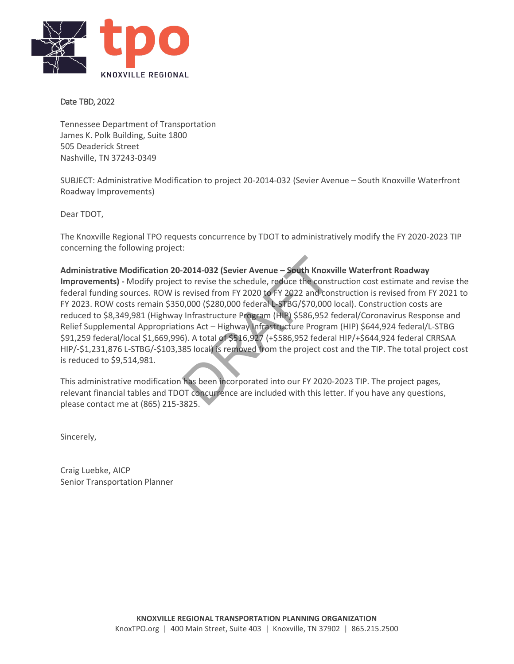

#### Date TBD, 2022

Tennessee Department of Transportation James K. Polk Building, Suite 1800 505 Deaderick Street Nashville, TN 37243-0349

SUBJECT: Administrative Modification to project 20-2014-032 (Sevier Avenue – South Knoxville Waterfront Roadway Improvements)

Dear TDOT,

The Knoxville Regional TPO requests concurrence by TDOT to administratively modify the FY 2020-2023 TIP concerning the following project:

**Administrative Modification 20-2014-032 (Sevier Avenue – South Knoxville Waterfront Roadway Improvements) -** Modify project to revise the schedule, reduce the construction cost estimate and revise the federal funding sources. ROW is revised from FY 2020 to FY 2022 and construction is revised from FY 2021 to FY 2023. ROW costs remain \$350,000 (\$280,000 federal L-STBG/\$70,000 local). Construction costs are reduced to \$8,349,981 (Highway Infrastructure Program (HIP) \$586,952 federal/Coronavirus Response and Relief Supplemental Appropriations Act – Highway Infrastructure Program (HIP) \$644,924 federal/L-STBG \$91,259 federal/local \$1,669,996). A total of \$516,927 (+\$586,952 federal HIP/+\$644,924 federal CRRSAA HIP/-\$1,231,876 L-STBG/-\$103,385 local) is removed from the project cost and the TIP. The total project cost is reduced to \$9,514,981. **2014-032 (Sevier Avenue – South Knox**<br>
to revise the schedule, reduce the const<br>
revised from FY 2020 to FY 2022 and cor<br>
0,000 (\$280,000 federal L-STBG/\$70,000<br>
Infrastructure Program (HIP) \$586,952 f<br>
ons Act – Highway

This administrative modification has been incorporated into our FY 2020-2023 TIP. The project pages, relevant financial tables and TDOT concurrence are included with this letter. If you have any questions, please contact me at (865) 215-3825.

Sincerely,

Craig Luebke, AICP Senior Transportation Planner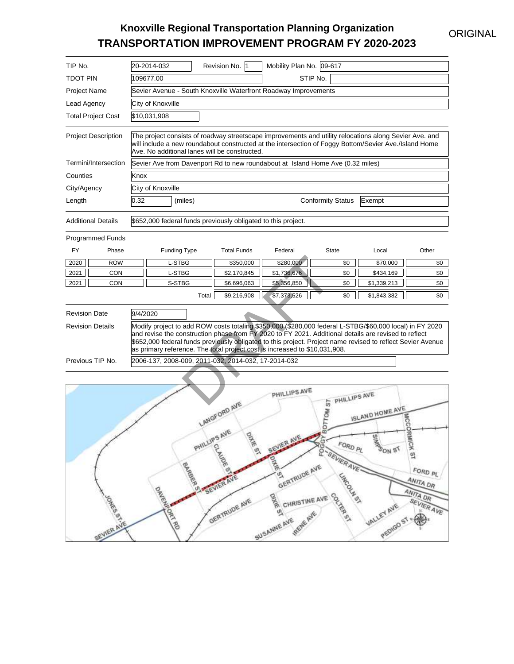## ORIGINAL

# **Knoxville Regional Transportation Planning Organization TRANSPORTATION IMPROVEMENT PROGRAM FY 2020-2023**

| TIP No.                    |            |                                                                                                                                                                                                                                                                                                                                                                                                              | 20-2014-032                                                                    |              | Revision No. 1                                                                                | Mobility Plan No. 09-617                                                                     |                                                                                      |                                                              |                                                                                   |  |  |
|----------------------------|------------|--------------------------------------------------------------------------------------------------------------------------------------------------------------------------------------------------------------------------------------------------------------------------------------------------------------------------------------------------------------------------------------------------------------|--------------------------------------------------------------------------------|--------------|-----------------------------------------------------------------------------------------------|----------------------------------------------------------------------------------------------|--------------------------------------------------------------------------------------|--------------------------------------------------------------|-----------------------------------------------------------------------------------|--|--|
|                            |            |                                                                                                                                                                                                                                                                                                                                                                                                              |                                                                                |              |                                                                                               |                                                                                              |                                                                                      |                                                              |                                                                                   |  |  |
| <b>TDOT PIN</b>            |            |                                                                                                                                                                                                                                                                                                                                                                                                              | 109677.00                                                                      |              |                                                                                               |                                                                                              | STIP No.                                                                             |                                                              |                                                                                   |  |  |
| <b>Project Name</b>        |            |                                                                                                                                                                                                                                                                                                                                                                                                              |                                                                                |              |                                                                                               | Sevier Avenue - South Knoxville Waterfront Roadway Improvements                              |                                                                                      |                                                              |                                                                                   |  |  |
| Lead Agency                |            |                                                                                                                                                                                                                                                                                                                                                                                                              | City of Knoxville                                                              |              |                                                                                               |                                                                                              |                                                                                      |                                                              |                                                                                   |  |  |
| <b>Total Project Cost</b>  |            |                                                                                                                                                                                                                                                                                                                                                                                                              | \$10,031,908                                                                   |              |                                                                                               |                                                                                              |                                                                                      |                                                              |                                                                                   |  |  |
| <b>Project Description</b> |            | The project consists of roadway streetscape improvements and utility relocations along Sevier Ave. and<br>will include a new roundabout constructed at the intersection of Foggy Bottom/Sevier Ave./Island Home<br>Ave. No additional lanes will be constructed.                                                                                                                                             |                                                                                |              |                                                                                               |                                                                                              |                                                                                      |                                                              |                                                                                   |  |  |
| Termini/Intersection       |            |                                                                                                                                                                                                                                                                                                                                                                                                              | Sevier Ave from Davenport Rd to new roundabout at Island Home Ave (0.32 miles) |              |                                                                                               |                                                                                              |                                                                                      |                                                              |                                                                                   |  |  |
| Counties                   |            | Knox                                                                                                                                                                                                                                                                                                                                                                                                         |                                                                                |              |                                                                                               |                                                                                              |                                                                                      |                                                              |                                                                                   |  |  |
| City/Agency                |            |                                                                                                                                                                                                                                                                                                                                                                                                              | City of Knoxville                                                              |              |                                                                                               |                                                                                              |                                                                                      |                                                              |                                                                                   |  |  |
| Length                     |            | 0.32                                                                                                                                                                                                                                                                                                                                                                                                         | (miles)                                                                        |              |                                                                                               |                                                                                              | <b>Conformity Status</b>                                                             | Exempt                                                       |                                                                                   |  |  |
| <b>Additional Details</b>  |            |                                                                                                                                                                                                                                                                                                                                                                                                              | \$652,000 federal funds previously obligated to this project.                  |              |                                                                                               |                                                                                              |                                                                                      |                                                              |                                                                                   |  |  |
| <b>Programmed Funds</b>    |            |                                                                                                                                                                                                                                                                                                                                                                                                              |                                                                                |              |                                                                                               |                                                                                              |                                                                                      |                                                              |                                                                                   |  |  |
| <u>FY</u>                  | Phase      |                                                                                                                                                                                                                                                                                                                                                                                                              | <b>Funding Type</b>                                                            |              | <b>Total Funds</b>                                                                            | Federal                                                                                      | <b>State</b>                                                                         | Local                                                        | Other                                                                             |  |  |
| 2020                       | <b>ROW</b> |                                                                                                                                                                                                                                                                                                                                                                                                              | L-STBG                                                                         |              | \$350,000                                                                                     | \$280,000                                                                                    | \$0                                                                                  | \$70,000                                                     | \$0                                                                               |  |  |
| 2021                       | <b>CON</b> |                                                                                                                                                                                                                                                                                                                                                                                                              | L-STBG                                                                         |              | \$2,170,845                                                                                   | \$1,736,676                                                                                  | \$0                                                                                  | \$434,169                                                    | \$0                                                                               |  |  |
| 2021                       | <b>CON</b> |                                                                                                                                                                                                                                                                                                                                                                                                              | S-STBG                                                                         |              | \$6,696,063                                                                                   | \$5,356,850                                                                                  | \$0                                                                                  | \$1,339,213                                                  | \$0                                                                               |  |  |
|                            |            |                                                                                                                                                                                                                                                                                                                                                                                                              |                                                                                | Total        | \$9,216,908                                                                                   | \$7,373,526                                                                                  | \$0                                                                                  | \$1,843,382                                                  | \$0                                                                               |  |  |
| <b>Revision Date</b>       |            | 9/4/2020                                                                                                                                                                                                                                                                                                                                                                                                     |                                                                                |              |                                                                                               |                                                                                              |                                                                                      |                                                              |                                                                                   |  |  |
| <b>Revision Details</b>    |            | Modify project to add ROW costs totaling \$350,000 (\$280,000 federal L-STBG/\$60,000 local) in FY 2020<br>and revise the construction phase from FY 2020 to FY 2021. Additional details are revised to reflect<br>\$652,000 federal funds previously obligated to this project. Project name revised to reflect Sevier Avenue<br>as primary reference. The total project cost is increased to \$10,031,908. |                                                                                |              |                                                                                               |                                                                                              |                                                                                      |                                                              |                                                                                   |  |  |
| Previous TIP No.           |            | 2006-137, 2008-009, 2011-032, 2014-032, 17-2014-032                                                                                                                                                                                                                                                                                                                                                          |                                                                                |              |                                                                                               |                                                                                              |                                                                                      |                                                              |                                                                                   |  |  |
|                            |            |                                                                                                                                                                                                                                                                                                                                                                                                              |                                                                                |              |                                                                                               |                                                                                              |                                                                                      |                                                              |                                                                                   |  |  |
|                            | SEVIER AVE |                                                                                                                                                                                                                                                                                                                                                                                                              | <b>DRIVERS</b>                                                                 | PHILLIPS AVE | <b>LANGFORD AVE</b><br>OWE<br>Change<br>Q<br><b>BARBARA AVE</b><br><b><i>GERTRUDE AVE</i></b> | PHILLIPS AVE<br><b>GERTRUDE AVE</b><br>OINE<br>CHRISTINE AVE<br>Q<br>REHE AVE<br>SUSANNE AVE | ST PHILLIPS AVE<br>BEVIER AVE SOND PLAYES<br>FORD PL<br><b>UNCOLN ST</b><br>COVER 51 | ISLAND HOME AVE<br><b>EINES</b><br>VALLEY AVE<br>PEDIGO ST = | <b>RMICK ST</b><br>FORD PL<br>ANITA DR<br>ANITA DR<br>SEVIER AVE<br>$\bigoplus_i$ |  |  |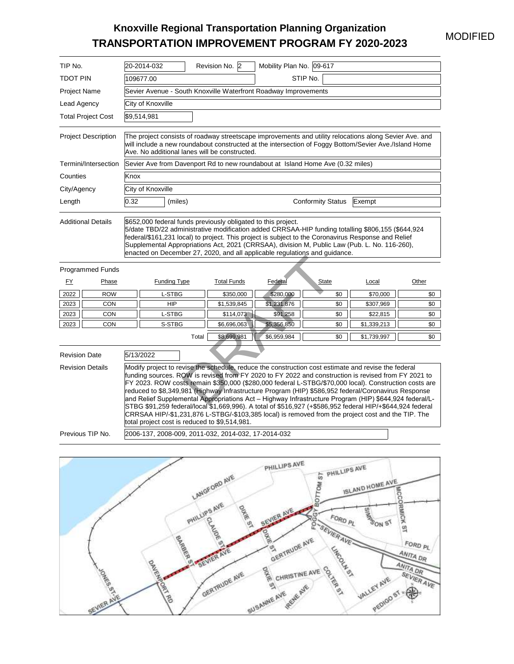## MODIFIED

# **Knoxville Regional Transportation Planning Organization TRANSPORTATION IMPROVEMENT PROGRAM FY 2020-2023**

| TIP No.                                         |                           |           | 20-2014-032                                                                    |       | Revision No. 2                                                                                                         | Mobility Plan No. 09-617                                                                                                                                                                                                                                                                                                                                                                                                                                                                                                                                                                                                                                                                                                                                |                                                                                                        |                                                             |                                                                      |  |  |  |
|-------------------------------------------------|---------------------------|-----------|--------------------------------------------------------------------------------|-------|------------------------------------------------------------------------------------------------------------------------|---------------------------------------------------------------------------------------------------------------------------------------------------------------------------------------------------------------------------------------------------------------------------------------------------------------------------------------------------------------------------------------------------------------------------------------------------------------------------------------------------------------------------------------------------------------------------------------------------------------------------------------------------------------------------------------------------------------------------------------------------------|--------------------------------------------------------------------------------------------------------|-------------------------------------------------------------|----------------------------------------------------------------------|--|--|--|
| <b>TDOT PIN</b>                                 |                           | 109677.00 |                                                                                |       | STIP No.                                                                                                               |                                                                                                                                                                                                                                                                                                                                                                                                                                                                                                                                                                                                                                                                                                                                                         |                                                                                                        |                                                             |                                                                      |  |  |  |
| Project Name                                    |                           |           |                                                                                |       |                                                                                                                        | Sevier Avenue - South Knoxville Waterfront Roadway Improvements                                                                                                                                                                                                                                                                                                                                                                                                                                                                                                                                                                                                                                                                                         |                                                                                                        |                                                             |                                                                      |  |  |  |
| Lead Agency                                     |                           |           | City of Knoxville                                                              |       |                                                                                                                        |                                                                                                                                                                                                                                                                                                                                                                                                                                                                                                                                                                                                                                                                                                                                                         |                                                                                                        |                                                             |                                                                      |  |  |  |
|                                                 | <b>Total Project Cost</b> |           | \$9,514,981                                                                    |       |                                                                                                                        |                                                                                                                                                                                                                                                                                                                                                                                                                                                                                                                                                                                                                                                                                                                                                         |                                                                                                        |                                                             |                                                                      |  |  |  |
| <b>Project Description</b>                      |                           |           |                                                                                |       | Ave. No additional lanes will be constructed.                                                                          | The project consists of roadway streetscape improvements and utility relocations along Sevier Ave. and<br>will include a new roundabout constructed at the intersection of Foggy Bottom/Sevier Ave./Island Home                                                                                                                                                                                                                                                                                                                                                                                                                                                                                                                                         |                                                                                                        |                                                             |                                                                      |  |  |  |
|                                                 | Termini/Intersection      |           | Sevier Ave from Davenport Rd to new roundabout at Island Home Ave (0.32 miles) |       |                                                                                                                        |                                                                                                                                                                                                                                                                                                                                                                                                                                                                                                                                                                                                                                                                                                                                                         |                                                                                                        |                                                             |                                                                      |  |  |  |
| Counties                                        |                           | Knox      |                                                                                |       |                                                                                                                        |                                                                                                                                                                                                                                                                                                                                                                                                                                                                                                                                                                                                                                                                                                                                                         |                                                                                                        |                                                             |                                                                      |  |  |  |
| City/Agency                                     |                           |           | City of Knoxville                                                              |       |                                                                                                                        |                                                                                                                                                                                                                                                                                                                                                                                                                                                                                                                                                                                                                                                                                                                                                         |                                                                                                        |                                                             |                                                                      |  |  |  |
| Length                                          |                           | 0.32      | (miles)                                                                        |       |                                                                                                                        |                                                                                                                                                                                                                                                                                                                                                                                                                                                                                                                                                                                                                                                                                                                                                         | <b>Conformity Status</b>                                                                               | Exempt                                                      |                                                                      |  |  |  |
| <b>Additional Details</b>                       |                           |           |                                                                                |       | \$652,000 federal funds previously obligated to this project.                                                          | 5/date TBD/22 administrative modification added CRRSAA-HIP funding totalling \$806,155 (\$644,924<br>federal/\$161,231 local) to project. This project is subject to the Coronavirus Response and Relief<br>Supplemental Appropriations Act, 2021 (CRRSAA), division M, Public Law (Pub. L. No. 116-260),<br>enacted on December 27, 2020, and all applicable regulations and guidance.                                                                                                                                                                                                                                                                                                                                                                 |                                                                                                        |                                                             |                                                                      |  |  |  |
|                                                 | <b>Programmed Funds</b>   |           |                                                                                |       |                                                                                                                        |                                                                                                                                                                                                                                                                                                                                                                                                                                                                                                                                                                                                                                                                                                                                                         |                                                                                                        |                                                             |                                                                      |  |  |  |
| <u>FY</u>                                       | Phase                     |           | <b>Funding Type</b>                                                            |       | <b>Total Funds</b>                                                                                                     | <b>Federal</b>                                                                                                                                                                                                                                                                                                                                                                                                                                                                                                                                                                                                                                                                                                                                          | <b>State</b>                                                                                           | Local                                                       | Other                                                                |  |  |  |
| 2022                                            | <b>ROW</b>                |           | L-STBG                                                                         |       | \$350,000                                                                                                              | \$280,000                                                                                                                                                                                                                                                                                                                                                                                                                                                                                                                                                                                                                                                                                                                                               | \$0                                                                                                    | \$70,000                                                    | \$0                                                                  |  |  |  |
| 2023<br>2023                                    | <b>CON</b><br><b>CON</b>  |           | <b>HIP</b><br>L-STBG                                                           |       | \$1,539,845<br>\$114,073                                                                                               | \$1,231,876<br>\$91,258                                                                                                                                                                                                                                                                                                                                                                                                                                                                                                                                                                                                                                                                                                                                 | \$0<br>\$0                                                                                             | \$307,969<br>\$22,815                                       | \$0<br>\$0                                                           |  |  |  |
| 2023                                            | <b>CON</b>                |           | S-STBG                                                                         |       | \$6,696,063                                                                                                            | \$5,356,850                                                                                                                                                                                                                                                                                                                                                                                                                                                                                                                                                                                                                                                                                                                                             | \$0                                                                                                    | \$1,339,213                                                 | \$0                                                                  |  |  |  |
|                                                 |                           |           |                                                                                | Total | \$8,699,981                                                                                                            | \$6,959,984                                                                                                                                                                                                                                                                                                                                                                                                                                                                                                                                                                                                                                                                                                                                             | \$0                                                                                                    | \$1,739,997                                                 | \$0                                                                  |  |  |  |
| <b>Revision Date</b><br><b>Revision Details</b> |                           | 5/13/2022 |                                                                                |       | total project cost is reduced to \$9,514,981.                                                                          | Modify project to revise the schedule, reduce the construction cost estimate and revise the federal<br>funding sources. ROW is revised from FY 2020 to FY 2022 and construction is revised from FY 2021 to<br>FY 2023. ROW costs remain \$350,000 (\$280,000 federal L-STBG/\$70,000 local). Construction costs are<br>reduced to \$8,349,981 (Highway Infrastructure Program (HIP) \$586,952 federal/Coronavirus Response<br>and Relief Supplemental Appropriations Act - Highway Infrastructure Program (HIP) \$644,924 federal/L-<br>STBG \$91,259 federal/local \$1,669,996). A total of \$516,927 (+\$586,952 federal HIP/+\$644,924 federal<br>CRRSAA HIP/-\$1,231,876 L-STBG/-\$103,385 local) is removed from the project cost and the TIP. The |                                                                                                        |                                                             |                                                                      |  |  |  |
|                                                 | Previous TIP No           |           |                                                                                |       | 2006-137, 2008-009, 2011-032, 2014-032, 17-2014-032                                                                    |                                                                                                                                                                                                                                                                                                                                                                                                                                                                                                                                                                                                                                                                                                                                                         |                                                                                                        |                                                             |                                                                      |  |  |  |
|                                                 | REVIER AVE                |           | <b>ORIGINAL BOOK</b>                                                           |       | <b>LANGFORD AVE</b><br>PHILLIPS AVE<br><b>DAKE</b><br>contage es<br>嗅<br><b>BARBASH AVE AVE</b><br><b>GERTRUDE AVE</b> | PHILLIPS AVE<br><b>SEVIER AVE</b><br>ONE<br><b>GERTRUDE AVE</b><br><b>Dikk</b><br>CHRISTINE AVE<br>Q<br>REFIE AVE<br><b>SULSANNE AVE</b>                                                                                                                                                                                                                                                                                                                                                                                                                                                                                                                                                                                                                | PHILLIPS AVE<br>57<br>ВОТТОМ<br><b>ASSESSMER AVE</b><br>$FORO_{PL}$<br><b>LAFOOLA</b> 97<br>COTAINS 50 | ISLAND HOME AVE<br><b>ESIMES</b><br>VALLEY AVE<br>PEDIGO ST | MCCORMICK ST<br>FORD PL<br>ANITA DR<br>ANITA DR<br><b>SEVIER AVE</b> |  |  |  |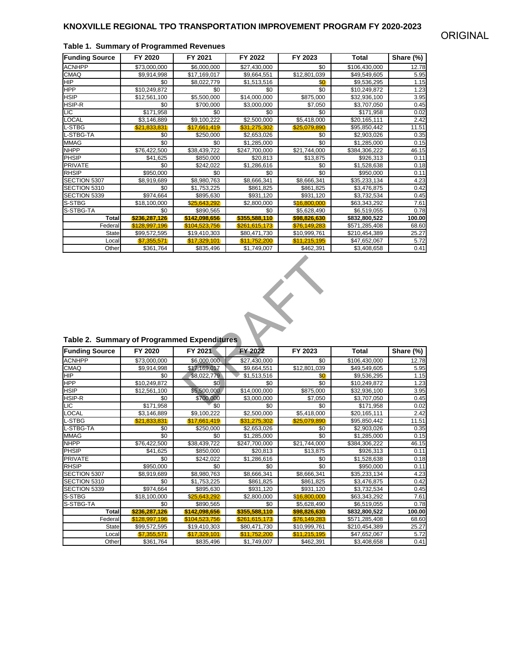| <b>Funding Source</b> | FY 2020       | FY 2021       | FY 2022       | FY 2023      | Total         | Share (%) |
|-----------------------|---------------|---------------|---------------|--------------|---------------|-----------|
| <b>ACNHPP</b>         | \$73,000,000  | \$6,000,000   | \$27,430,000  | \$0          | \$106,430,000 | 12.78     |
| <b>CMAQ</b>           | \$9,914,998   | \$17,169,017  | \$9,664,551   | \$12,801,039 | \$49,549,605  | 5.95      |
| <b>HIP</b>            | \$0           | \$8,022,779   | \$1,513,516   | \$0          | \$9,536,295   | 1.15      |
| <b>HPP</b>            | \$10,249,872  | \$0           | \$0           | \$0          | \$10,249,872  | 1.23      |
| <b>HSIP</b>           | \$12,561,100  | \$5,500,000   | \$14,000,000  | \$875,000    | \$32,936,100  | 3.95      |
| HSIP-R                | \$0           | \$700,000     | \$3,000,000   | \$7,050      | \$3,707,050   | 0.45      |
| LIC                   | \$171,958     | \$0           | \$0           | \$0          | \$171,958     | 0.02      |
| <b>LOCAL</b>          | \$3,146,889   | \$9,100,222   | \$2,500,000   | \$5,418,000  | \$20,165,111  | 2.42      |
| L-STBG                | \$21,833,831  | \$17,661,419  | \$31,275,302  | \$25,079,890 | \$95,850,442  | 11.51     |
| L-STBG-TA             | \$0           | \$250,000     | \$2,653,026   | \$0          | \$2,903,026   | 0.35      |
| <b>MMAG</b>           | \$0           | \$0           | \$1,285,000   | \$0          | \$1,285,000   | 0.15      |
| <b>NHPP</b>           | \$76,422,500  | \$38,439,722  | \$247,700,000 | \$21,744,000 | \$384,306,222 | 46.15     |
| <b>PHSIP</b>          | \$41.625      | \$850,000     | \$20,813      | \$13,875     | \$926,313     | 0.11      |
| <b>PRIVATE</b>        | \$0           | \$242.022     | \$1,286,616   | \$0          | \$1,528,638   | 0.18      |
| <b>RHSIP</b>          | \$950,000     | \$0           | \$0           | \$0          | \$950,000     | 0.11      |
| SECTION 5307          | \$8,919,689   | \$8,980,763   | \$8,666,341   | \$8,666,341  | \$35,233,134  | 4.23      |
| SECTION 5310          | \$0           | \$1,753,225   | \$861,825     | \$861,825    | \$3,476,875   | 0.42      |
| SECTION 5339          | \$974,664     | \$895,630     | \$931,120     | \$931,120    | \$3,732,534   | 0.45      |
| S-STBG                | \$18,100,000  | \$25,643,292  | \$2,800,000   | \$16,800,000 | \$63,343,292  | 7.61      |
| S-STBG-TA             | \$0           | \$890,565     | \$0           | \$5,628,490  | \$6,519,055   | 0.78      |
| Total                 | \$236,287,126 | \$142,098,656 | \$355,588,110 | \$98,826,630 | \$832,800,522 | 100.00    |
| Federal               | \$128,997,196 | \$104.523.756 | \$261,615,173 | \$76,149,283 | \$571,285,408 | 68.60     |
| State                 | \$99,572,595  | \$19,410,303  | \$80,471,730  | \$10,999,761 | \$210,454,389 | 25.27     |
| Local                 | \$7.355.571   | \$17,329,101  | \$11,752,200  | \$11,215,195 | \$47,652,067  | 5.72      |
| Other                 | \$361,764     | \$835,496     | \$1,749,007   | \$462,391    | \$3,408,658   | 0.41      |

#### **Table 1. Summary of Programmed Revenues**



### **Table 2. Summary of Programmed Expenditures**

| Table 2. Summary of Programmed Expenditures |               |               |               |              |               |           |
|---------------------------------------------|---------------|---------------|---------------|--------------|---------------|-----------|
| <b>Funding Source</b>                       | FY 2020       | FY 2021       | FY 2022       | FY 2023      | <b>Total</b>  | Share (%) |
| <b>ACNHPP</b>                               | \$73,000,000  | \$6,000,000   | \$27,430,000  | \$0          | \$106,430,000 | 12.78     |
| <b>CMAQ</b>                                 | \$9,914,998   | \$17,169,017  | \$9,664,551   | \$12,801,039 | \$49,549,605  | 5.95      |
| <b>HIP</b>                                  | \$0           | \$8,022,779   | \$1,513,516   | \$0          | \$9,536,295   | 1.15      |
| <b>HPP</b>                                  | \$10,249,872  | \$0           | \$0           | \$0          | \$10,249,872  | 1.23      |
| <b>HSIP</b>                                 | \$12,561,100  | \$5,500,000   | \$14,000,000  | \$875,000    | \$32,936,100  | 3.95      |
| HSIP-R                                      | \$0           | \$700,000     | \$3,000,000   | \$7,050      | \$3,707,050   | 0.45      |
| LIC                                         | \$171,958     | \$0           | \$0           | \$0          | \$171,958     | 0.02      |
| <b>LOCAL</b>                                | \$3,146,889   | \$9,100,222   | \$2,500,000   | \$5,418,000  | \$20,165,111  | 2.42      |
| L-STBG                                      | \$21,833,831  | \$17,661,419  | \$31,275,302  | \$25,079,890 | \$95,850,442  | 11.51     |
| L-STBG-TA                                   | \$0           | \$250,000     | \$2,653,026   | \$0          | \$2,903,026   | 0.35      |
| <b>MMAG</b>                                 | \$0           | \$0           | \$1,285,000   | \$0          | \$1,285,000   | 0.15      |
| <b>NHPP</b>                                 | \$76,422,500  | \$38,439,722  | \$247,700,000 | \$21,744,000 | \$384,306,222 | 46.15     |
| PHSIP                                       | \$41,625      | \$850,000     | \$20,813      | \$13,875     | \$926,313     | 0.11      |
| <b>PRIVATE</b>                              | \$0           | \$242,022     | \$1,286,616   | \$0          | \$1,528,638   | 0.18      |
| <b>RHSIP</b>                                | \$950.000     | \$0           | \$0           | \$0          | \$950,000     | 0.11      |
| SECTION 5307                                | \$8,919,689   | \$8,980,763   | \$8,666,341   | \$8,666,341  | \$35,233,134  | 4.23      |
| SECTION 5310                                | \$0           | \$1,753,225   | \$861,825     | \$861,825    | \$3,476,875   | 0.42      |
| SECTION 5339                                | \$974,664     | \$895,630     | \$931,120     | \$931,120    | \$3,732,534   | 0.45      |
| S-STBG                                      | \$18,100,000  | \$25,643,292  | \$2,800,000   | \$16,800,000 | \$63,343,292  | 7.61      |
| S-STBG-TA                                   | \$0           | \$890,565     | \$0           | \$5,628,490  | \$6,519,055   | 0.78      |
| <b>Total</b>                                | \$236,287,126 | \$142,098,656 | \$355,588,110 | \$98,826,630 | \$832,800,522 | 100.00    |
| Federal                                     | \$128,997,196 | \$104,523,756 | \$261,615,173 | \$76,149,283 | \$571,285,408 | 68.60     |
| <b>State</b>                                | \$99,572,595  | \$19,410,303  | \$80,471,730  | \$10,999,761 | \$210,454,389 | 25.27     |
| Local                                       | \$7,355,571   | \$17,329,101  | \$11,752,200  | \$11,215,195 | \$47,652,067  | 5.72      |
| Other                                       | \$361.764     | \$835,496     | \$1,749,007   | \$462,391    | \$3,408,658   | 0.41      |

### ORIGINAL